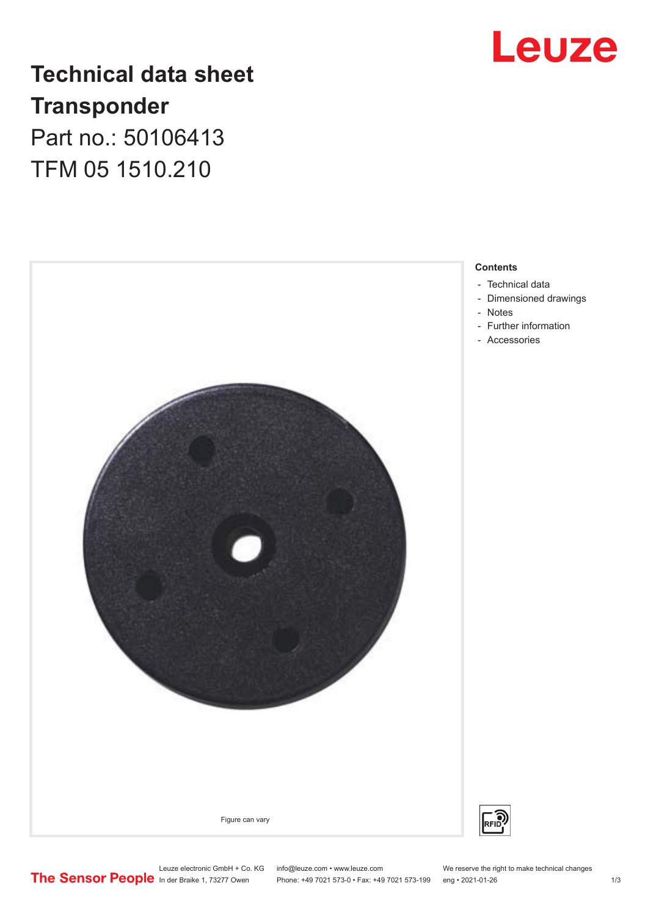

## **Technical data sheet Transponder** Part no.: 50106413 TFM 05 1510.210



- [Technical data](#page-1-0)
- [Dimensioned drawings](#page-1-0)
- [Notes](#page-1-0)
- Further information
- [Accessories](#page-2-0)

Leuze electronic GmbH + Co. KG info@leuze.com • www.leuze.com We reserve the right to make technical changes<br> **The Sensor People** in der Braike 1, 73277 Owen Phone: +49 7021 573-0 • Fax: +49 7021 573-199 eng • 2021-01-26

Phone: +49 7021 573-0 • Fax: +49 7021 573-199 eng • 2021-01-26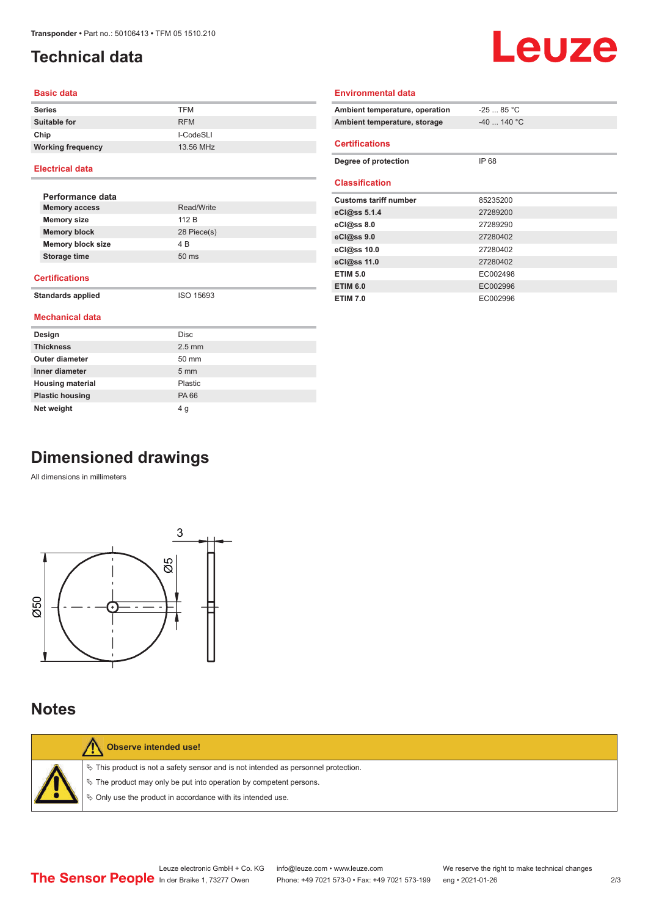## <span id="page-1-0"></span>**Technical data**

# Leuze

### **Basic data**

| <b>Series</b>            | <b>TFM</b> |
|--------------------------|------------|
| Suitable for             | <b>RFM</b> |
| Chip                     | I-CodeSLI  |
| <b>Working frequency</b> | 13.56 MHz  |

#### **Electrical data**

| Performance data         |                 |
|--------------------------|-----------------|
| <b>Memory access</b>     | Read/Write      |
| <b>Memory size</b>       | 112 B           |
| <b>Memory block</b>      | 28 Piece(s)     |
| <b>Memory block size</b> | 4 B             |
| Storage time             | $50 \text{ ms}$ |
|                          |                 |

#### **Certifications**

**Standards applied** ISO 15693

#### **Mechanical data**

| Design                  | <b>Disc</b>    |
|-------------------------|----------------|
| <b>Thickness</b>        | $2.5$ mm       |
| <b>Outer diameter</b>   | 50 mm          |
| Inner diameter          | $5 \text{ mm}$ |
| <b>Housing material</b> | Plastic        |
| <b>Plastic housing</b>  | <b>PA66</b>    |
| Net weight              | 4 g            |

| Ambient temperature, operation | $-2585 °C$   |
|--------------------------------|--------------|
| Ambient temperature, storage   | $-40$ 140 °C |
| <b>Certifications</b>          |              |
| Degree of protection           | IP 68        |
| <b>Classification</b>          |              |
| <b>Customs tariff number</b>   | 85235200     |
| eCl@ss $5.1.4$                 | 27289200     |
| $eC/\omega$ ss 8.0             | 27289290     |
| eC <sub>1</sub> @ss9.0         | 27280402     |
| eCl@ss 10.0                    | 27280402     |
| eCl@ss 11.0                    | 27280402     |
| <b>ETIM 5.0</b>                | EC002498     |
| <b>ETIM 6.0</b>                | EC002996     |

**ETIM 7.0** EC002996

**Environmental data**

## **Dimensioned drawings**

All dimensions in millimeters



## **Notes**

|  | Observe intended use!                                                                 |
|--|---------------------------------------------------------------------------------------|
|  | $\%$ This product is not a safety sensor and is not intended as personnel protection. |
|  | $\%$ The product may only be put into operation by competent persons.                 |
|  | ♦ Only use the product in accordance with its intended use.                           |